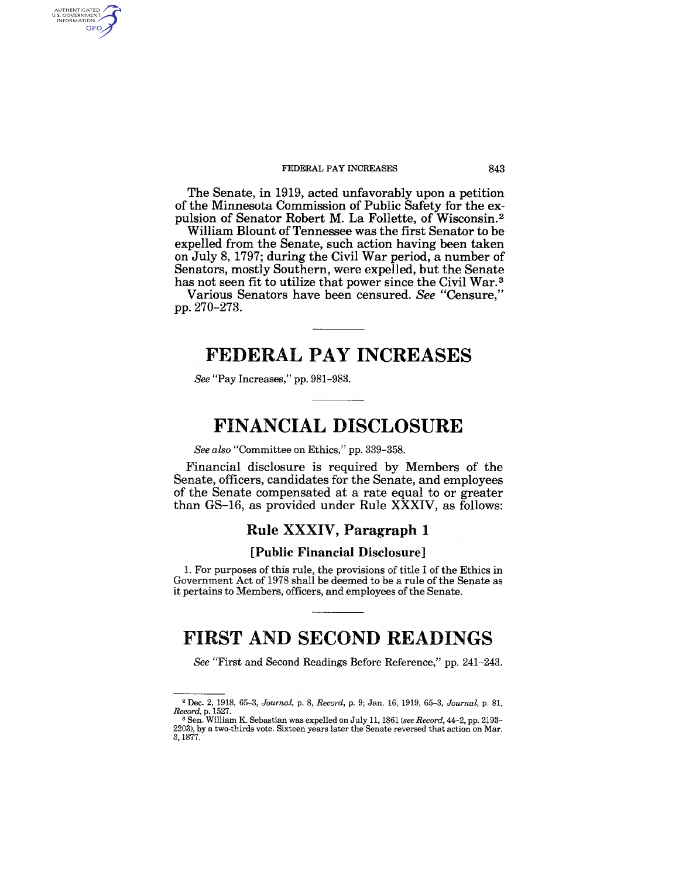#### FEDERAL PAY INCREASES 843

The Senate, in 1919, acted unfavorably upon a petition of the Minnesota Commission of Public Safety for the expulsion of Senator Robert M. La Follette, of Wisconsin. 2

William Blount of Tennessee was the first Senator to be expelled from the Senate, such action having been taken on July 8, 1797; during the Civil War period, a number of Senators, mostly Southern, were expelled, but the Senate has not seen fit to utilize that power since the Civil War.<sup>3</sup>

Various Senators have been censured. *See* "Censure," pp. 270-273.

# FEDERAL PAY INCREASES

*See* "Pay Increases," pp. 981-983.

AUTHENTICATED<br>U.S. GOVERNMENT<br>INFORMATION **GPO** 

# FINANCIAL DISCLOSURE

*See also* "Committee on Ethics," pp. 339-358.

Financial disclosure is required by Members of the Senate, officers, candidates for the Senate, and employees of the Senate compensated at a rate equal to or greater than GS-16, as provided under Rule XXXIV, as follows:

### Rule XXXIV, Paragraph 1

### [Public Financial Disclosure]

1. For purposes of this rule, the provisions of title I of the Ethics in Government Act of 1978 shall be deemed to be a rule of the Senate as it pertains to Members, officers, and employees of the Senate.

# FIRST AND SECOND READINGS

*See* "First and Second Readings Before Reference," pp. 241-243.

<sup>2</sup>Dec. 2. 1918, 65-3, *Journal,* p. 8, *Record,* p. 9; Jan. 16, 1919, 65-3, *Journal,* p. 81,

<sup>&</sup>lt;sup>8</sup> Sen. William K. Sebastian was expelled on July 11, 1861 (see Record, 44-2, pp. 2193-2203), by a two-thirds vote. Sixteen years later the Senate reversed that action on Mar. 3,1877.